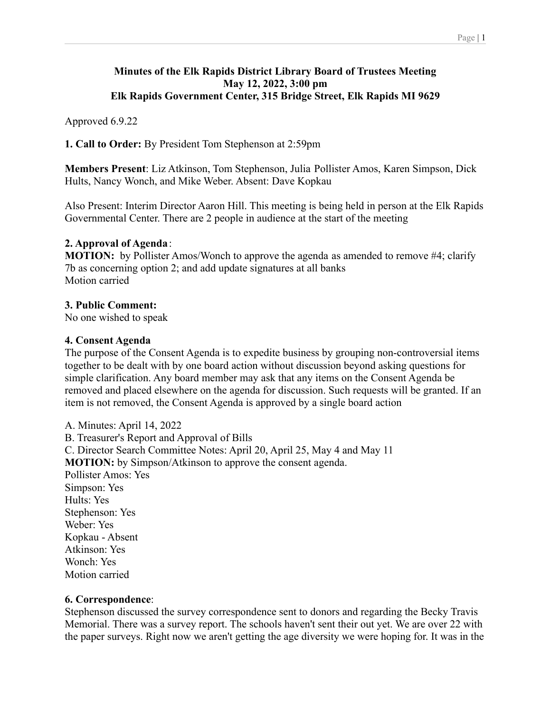### **Minutes of the Elk Rapids District Library Board of Trustees Meeting May 12, 2022, 3:00 pm Elk Rapids Government Center, 315 Bridge Street, Elk Rapids MI 9629**

Approved 6.9.22

**1. Call to Order:** By President Tom Stephenson at 2:59pm

**Members Present**: Liz Atkinson, Tom Stephenson, Julia Pollister Amos, Karen Simpson, Dick Hults, Nancy Wonch, and Mike Weber. Absent: Dave Kopkau

Also Present: Interim Director Aaron Hill. This meeting is being held in person at the Elk Rapids Governmental Center. There are 2 people in audience at the start of the meeting

### **2. Approval of Agenda**:

**MOTION:** by Pollister Amos/Wonch to approve the agenda as amended to remove #4; clarify 7b as concerning option 2; and add update signatures at all banks Motion carried

### **3. Public Comment:**

No one wished to speak

### **4. Consent Agenda**

The purpose of the Consent Agenda is to expedite business by grouping non-controversial items together to be dealt with by one board action without discussion beyond asking questions for simple clarification. Any board member may ask that any items on the Consent Agenda be removed and placed elsewhere on the agenda for discussion. Such requests will be granted. If an item is not removed, the Consent Agenda is approved by a single board action

A. Minutes: April 14, 2022 B. Treasurer's Report and Approval of Bills C. Director Search Committee Notes: April 20, April 25, May 4 and May 11 **MOTION:** by Simpson/Atkinson to approve the consent agenda. Pollister Amos: Yes Simpson: Yes Hults: Yes Stephenson: Yes Weber: Yes Kopkau - Absent Atkinson: Yes Wonch: Yes Motion carried

### **6. Correspondence**:

Stephenson discussed the survey correspondence sent to donors and regarding the Becky Travis Memorial. There was a survey report. The schools haven't sent their out yet. We are over 22 with the paper surveys. Right now we aren't getting the age diversity we were hoping for. It was in the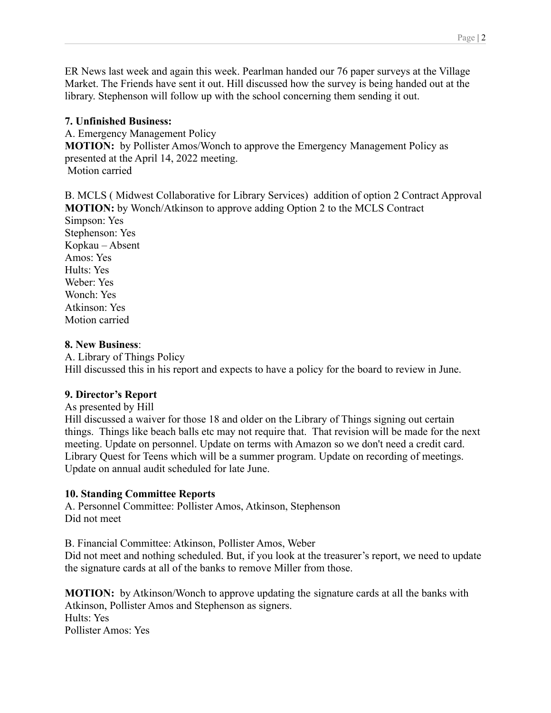ER News last week and again this week. Pearlman handed our 76 paper surveys at the Village Market. The Friends have sent it out. Hill discussed how the survey is being handed out at the library. Stephenson will follow up with the school concerning them sending it out.

### **7. Unfinished Business:**

A. Emergency Management Policy **MOTION:** by Pollister Amos/Wonch to approve the Emergency Management Policy as presented at the April 14, 2022 meeting. Motion carried

B. MCLS ( Midwest Collaborative for Library Services) addition of option 2 Contract Approval **MOTION:** by Wonch/Atkinson to approve adding Option 2 to the MCLS Contract Simpson: Yes Stephenson: Yes Kopkau – Absent Amos: Yes Hults: Yes Weber: Yes Wonch: Yes Atkinson: Yes Motion carried

## **8. New Business**:

A. Library of Things Policy Hill discussed this in his report and expects to have a policy for the board to review in June.

# **9. Director's Report**

As presented by Hill

Hill discussed a waiver for those 18 and older on the Library of Things signing out certain things. Things like beach balls etc may not require that. That revision will be made for the next meeting. Update on personnel. Update on terms with Amazon so we don't need a credit card. Library Quest for Teens which will be a summer program. Update on recording of meetings. Update on annual audit scheduled for late June.

# **10. Standing Committee Reports**

A. Personnel Committee: Pollister Amos, Atkinson, Stephenson Did not meet

B. Financial Committee: Atkinson, Pollister Amos, Weber Did not meet and nothing scheduled. But, if you look at the treasurer's report, we need to update the signature cards at all of the banks to remove Miller from those.

**MOTION:** by Atkinson/Wonch to approve updating the signature cards at all the banks with Atkinson, Pollister Amos and Stephenson as signers. Hults: Yes Pollister Amos: Yes